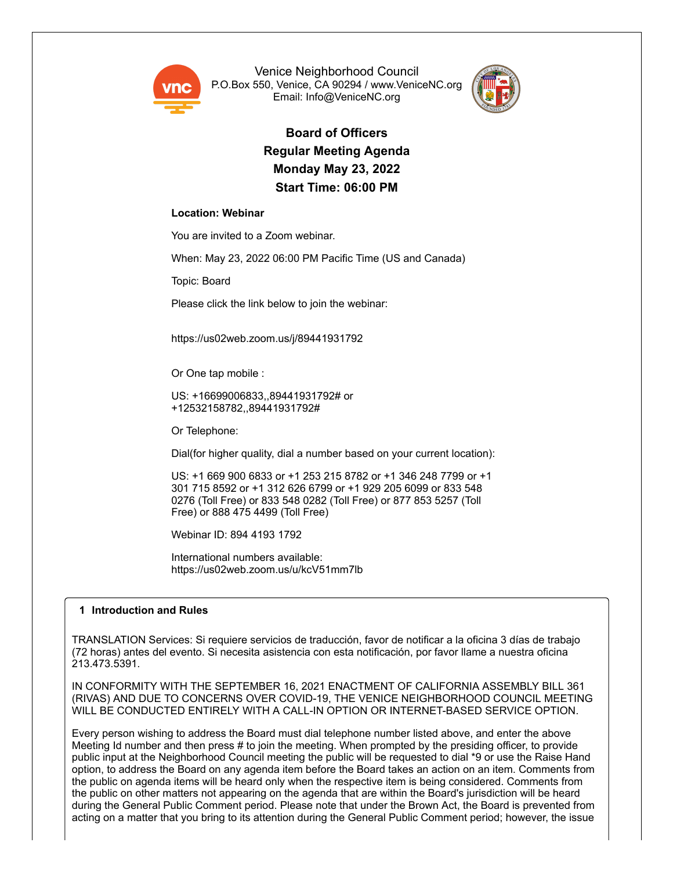

Venice Neighborhood Council P.O.Box 550, Venice, CA 90294 / www.VeniceNC.org Email: Info@VeniceNC.org



**Board of Officers Regular Meeting Agenda Monday May 23, 2022 Start Time: 06:00 PM**

## **Location: Webinar**

You are invited to a Zoom webinar.

When: May 23, 2022 06:00 PM Pacific Time (US and Canada)

Topic: Board

Please click the link below to join the webinar:

https://us02web.zoom.us/j/89441931792

Or One tap mobile :

US: +16699006833,,89441931792# or +12532158782,,89441931792#

Or Telephone:

Dial(for higher quality, dial a number based on your current location):

US: +1 669 900 6833 or +1 253 215 8782 or +1 346 248 7799 or +1 301 715 8592 or +1 312 626 6799 or +1 929 205 6099 or 833 548 0276 (Toll Free) or 833 548 0282 (Toll Free) or 877 853 5257 (Toll Free) or 888 475 4499 (Toll Free)

Webinar ID: 894 4193 1792

International numbers available: https://us02web.zoom.us/u/kcV51mm7lb

## **1 Introduction and Rules**

TRANSLATION Services: Si requiere servicios de traducción, favor de notificar a la oficina 3 días de trabajo (72 horas) antes del evento. Si necesita asistencia con esta notificación, por favor llame a nuestra oficina 213.473.5391.

IN CONFORMITY WITH THE SEPTEMBER 16, 2021 ENACTMENT OF CALIFORNIA ASSEMBLY BILL 361 (RIVAS) AND DUE TO CONCERNS OVER COVID-19, THE VENICE NEIGHBORHOOD COUNCIL MEETING WILL BE CONDUCTED ENTIRELY WITH A CALL-IN OPTION OR INTERNET-BASED SERVICE OPTION.

Every person wishing to address the Board must dial telephone number listed above, and enter the above Meeting Id number and then press # to join the meeting. When prompted by the presiding officer, to provide public input at the Neighborhood Council meeting the public will be requested to dial \*9 or use the Raise Hand option, to address the Board on any agenda item before the Board takes an action on an item. Comments from the public on agenda items will be heard only when the respective item is being considered. Comments from the public on other matters not appearing on the agenda that are within the Board's jurisdiction will be heard during the General Public Comment period. Please note that under the Brown Act, the Board is prevented from acting on a matter that you bring to its attention during the General Public Comment period; however, the issue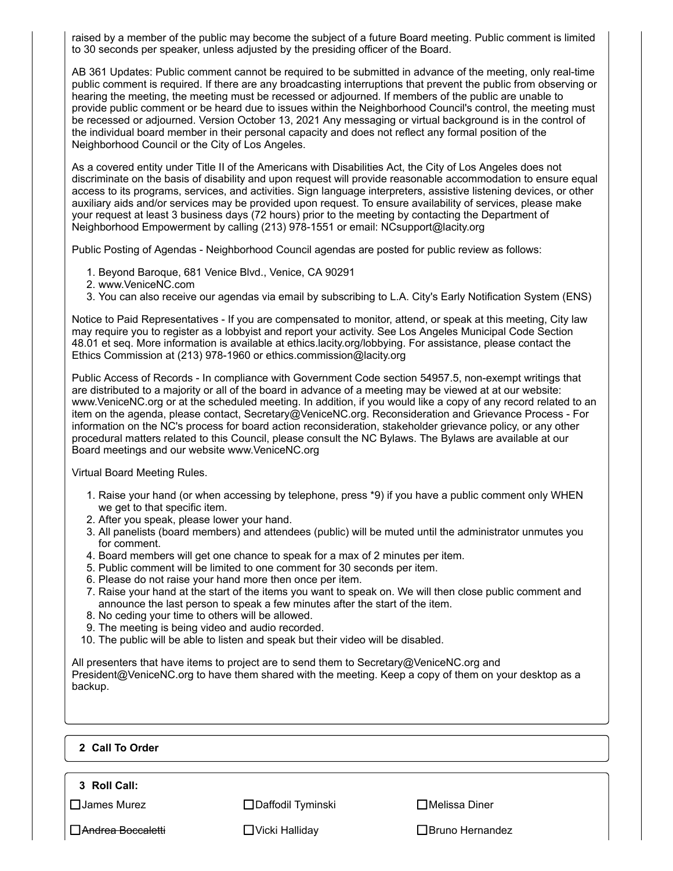raised by a member of the public may become the subject of a future Board meeting. Public comment is limited to 30 seconds per speaker, unless adjusted by the presiding officer of the Board.

AB 361 Updates: Public comment cannot be required to be submitted in advance of the meeting, only real-time public comment is required. If there are any broadcasting interruptions that prevent the public from observing or hearing the meeting, the meeting must be recessed or adjourned. If members of the public are unable to provide public comment or be heard due to issues within the Neighborhood Council's control, the meeting must be recessed or adjourned. Version October 13, 2021 Any messaging or virtual background is in the control of the individual board member in their personal capacity and does not reflect any formal position of the Neighborhood Council or the City of Los Angeles.

As a covered entity under Title II of the Americans with Disabilities Act, the City of Los Angeles does not discriminate on the basis of disability and upon request will provide reasonable accommodation to ensure equal access to its programs, services, and activities. Sign language interpreters, assistive listening devices, or other auxiliary aids and/or services may be provided upon request. To ensure availability of services, please make your request at least 3 business days (72 hours) prior to the meeting by contacting the Department of Neighborhood Empowerment by calling (213) 978-1551 or email: NCsupport@lacity.org

Public Posting of Agendas - Neighborhood Council agendas are posted for public review as follows:

- 1. Beyond Baroque, 681 Venice Blvd., Venice, CA 90291
- 2. www.VeniceNC.com
- 3. You can also receive our agendas via email by subscribing to L.A. City's Early Notification System (ENS)

Notice to Paid Representatives - If you are compensated to monitor, attend, or speak at this meeting, City law may require you to register as a lobbyist and report your activity. See Los Angeles Municipal Code Section 48.01 et seq. More information is available at ethics.lacity.org/lobbying. For assistance, please contact the Ethics Commission at (213) 978-1960 or ethics.commission@lacity.org

Public Access of Records - In compliance with Government Code section 54957.5, non-exempt writings that are distributed to a majority or all of the board in advance of a meeting may be viewed at at our website: www.VeniceNC.org or at the scheduled meeting. In addition, if you would like a copy of any record related to an item on the agenda, please contact, Secretary@VeniceNC.org. Reconsideration and Grievance Process - For information on the NC's process for board action reconsideration, stakeholder grievance policy, or any other procedural matters related to this Council, please consult the NC Bylaws. The Bylaws are available at our Board meetings and our website www.VeniceNC.org

Virtual Board Meeting Rules.

- 1. Raise your hand (or when accessing by telephone, press \*9) if you have a public comment only WHEN we get to that specific item.
- 2. After you speak, please lower your hand.
- 3. All panelists (board members) and attendees (public) will be muted until the administrator unmutes you for comment.
- 4. Board members will get one chance to speak for a max of 2 minutes per item.
- 5. Public comment will be limited to one comment for 30 seconds per item.
- 6. Please do not raise your hand more then once per item.
- 7. Raise your hand at the start of the items you want to speak on. We will then close public comment and announce the last person to speak a few minutes after the start of the item.
- 8. No ceding your time to others will be allowed.
- 9. The meeting is being video and audio recorded.
- 10. The public will be able to listen and speak but their video will be disabled.

All presenters that have items to project are to send them to Secretary@VeniceNC.org and President@VeniceNC.org to have them shared with the meeting. Keep a copy of them on your desktop as a backup.

# **2 Call To Order**

**3 Roll Call:**

James Murez Daffodil Tyminski Melissa Diner

**□Andrea Boccaletti** Bruno Hernandez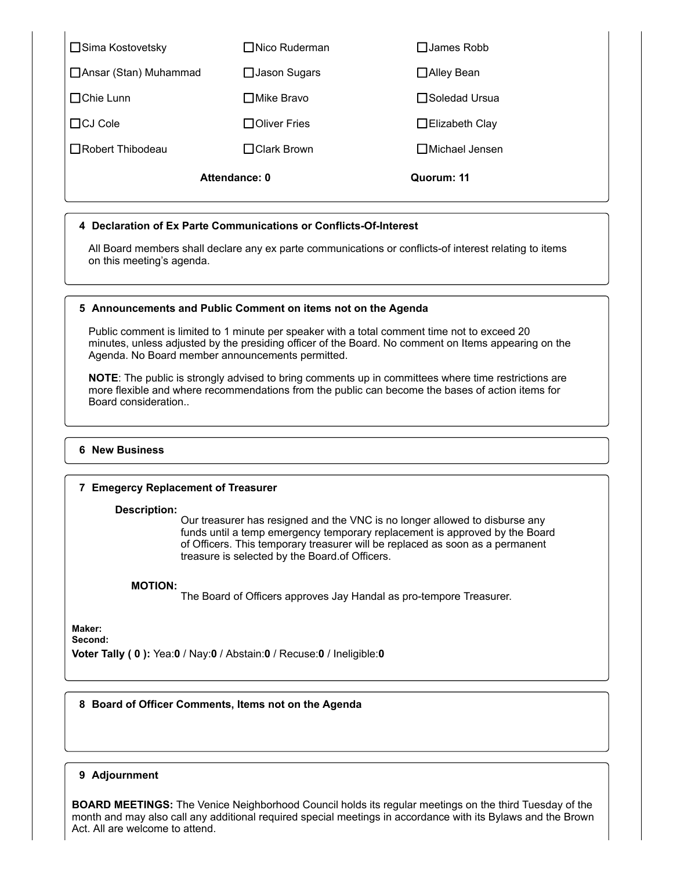| □ Sima Kostovetsky      | $\Box$ Nico Ruderman | $\square$ James Robb     |
|-------------------------|----------------------|--------------------------|
| □ Ansar (Stan) Muhammad | $\Box$ Jason Sugars  | □ Alley Bean             |
| $\Box$ Chie Lunn        | $\Box$ Mike Bravo    | $\Box$ Soledad Ursua     |
| $\Box$ CJ Cole          | $\Box$ Oliver Fries  | $\Box$ Elizabeth Clay    |
| □Robert Thibodeau       | $\Box$ Clark Brown   | $\square$ Michael Jensen |
| Attendance: 0           |                      | Quorum: 11               |

## **4 Declaration of Ex Parte Communications or Conflicts-Of-Interest**

All Board members shall declare any ex parte communications or conflicts-of interest relating to items on this meeting's agenda.

### **5 Announcements and Public Comment on items not on the Agenda**

Public comment is limited to 1 minute per speaker with a total comment time not to exceed 20 minutes, unless adjusted by the presiding officer of the Board. No comment on Items appearing on the Agenda. No Board member announcements permitted.

**NOTE**: The public is strongly advised to bring comments up in committees where time restrictions are more flexible and where recommendations from the public can become the bases of action items for Board consideration..

#### **6 New Business**

### **7 Emegercy Replacement of Treasurer**

**Description:**

Our treasurer has resigned and the VNC is no longer allowed to disburse any funds until a temp emergency temporary replacement is approved by the Board of Officers. This temporary treasurer will be replaced as soon as a permanent treasure is selected by the Board.of Officers.

## **MOTION:**

The Board of Officers approves Jay Handal as pro-tempore Treasurer.

**Maker: Second:**

**Voter Tally ( 0 ):** Yea:**0** / Nay:**0** / Abstain:**0** / Recuse:**0** / Ineligible:**0**

### **8 Board of Officer Comments, Items not on the Agenda**

# **9** Adjournment

**BOARD MEETINGS:** The Venice Neighborhood Council holds its regular meetings on the third Tuesday of the month and may also call any additional required special meetings in accordance with its Bylaws and the Brown Act. All are welcome to attend.